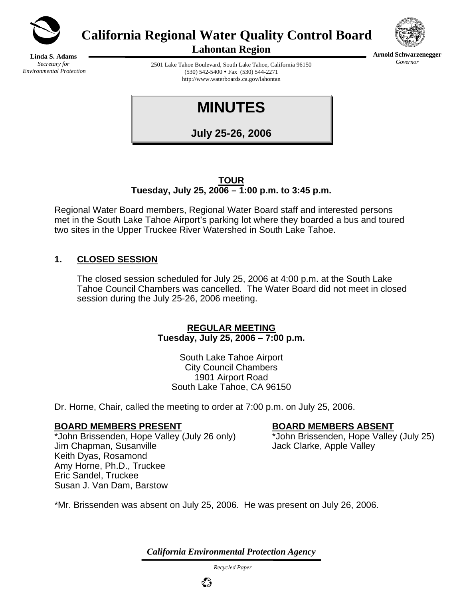

**California Regional Water Quality Control Board** 



**Arnold Schwarzenegger** *Governor* 

**Linda S. Adams**  *Secretary for Environmental Protection*  **Lahontan Region** 

2501 Lake Tahoe Boulevard, South Lake Tahoe, California 96150  $(530)$  542-5400 • Fax  $(530)$  544-2271 http://www.waterboards.ca.gov/lahontan

# **MINUTES**

**July 25-26, 2006**

#### **TOUR Tuesday, July 25, 2006 – 1:00 p.m. to 3:45 p.m.**

Regional Water Board members, Regional Water Board staff and interested persons met in the South Lake Tahoe Airport's parking lot where they boarded a bus and toured two sites in the Upper Truckee River Watershed in South Lake Tahoe.

# **1. CLOSED SESSION**

The closed session scheduled for July 25, 2006 at 4:00 p.m. at the South Lake Tahoe Council Chambers was cancelled. The Water Board did not meet in closed session during the July 25-26, 2006 meeting.

#### **REGULAR MEETING Tuesday, July 25, 2006 – 7:00 p.m.**

South Lake Tahoe Airport City Council Chambers 1901 Airport Road South Lake Tahoe, CA 96150

Dr. Horne, Chair, called the meeting to order at 7:00 p.m. on July 25, 2006.

### **BOARD MEMBERS PRESENT BOARD MEMBERS ABSENT**

\*John Brissenden, Hope Valley (July 26 only) \*John Brissenden, Hope Valley (July 25) Jim Chapman, Susanville Jack Clarke, Apple Valley Keith Dyas, Rosamond Amy Horne, Ph.D., Truckee Eric Sandel, Truckee Susan J. Van Dam, Barstow

\*Mr. Brissenden was absent on July 25, 2006. He was present on July 26, 2006.

*California Environmental Protection Agency*

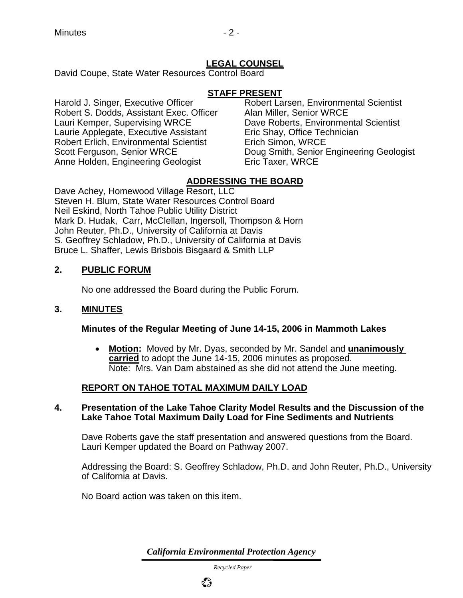# **LEGAL COUNSEL**

David Coupe, State Water Resources Control Board

#### **STAFF PRESENT**

Harold J. Singer, Executive Officer Freeder Robert Larsen, Environmental Scientist<br>Robert S. Dodds, Assistant Exec. Officer Alan Miller, Senior WRCE Robert S. Dodds, Assistant Exec. Officer Lauri Kemper, Supervising WRCE Dave Roberts, Environmental Scientist Laurie Applegate, Executive Assistant Eric Shay, Office Technician Robert Erlich, Environmental Scientist Erich Simon, WRCE Anne Holden, Engineering Geologist Eric Taxer, WRCE

Scott Ferguson, Senior WRCE Doug Smith, Senior Engineering Geologist

### **ADDRESSING THE BOARD**

Dave Achey, Homewood Village Resort, LLC Steven H. Blum, State Water Resources Control Board Neil Eskind, North Tahoe Public Utility District Mark D. Hudak, Carr, McClellan, Ingersoll, Thompson & Horn John Reuter, Ph.D., University of California at Davis S. Geoffrey Schladow, Ph.D., University of California at Davis Bruce L. Shaffer, Lewis Brisbois Bisgaard & Smith LLP

### **2. PUBLIC FORUM**

No one addressed the Board during the Public Forum.

#### **3. MINUTES**

#### **Minutes of the Regular Meeting of June 14-15, 2006 in Mammoth Lakes**

• **Motion:** Moved by Mr. Dyas, seconded by Mr. Sandel and **unanimously carried** to adopt the June 14-15, 2006 minutes as proposed. Note: Mrs. Van Dam abstained as she did not attend the June meeting.

### **REPORT ON TAHOE TOTAL MAXIMUM DAILY LOAD**

#### **4. Presentation of the Lake Tahoe Clarity Model Results and the Discussion of the Lake Tahoe Total Maximum Daily Load for Fine Sediments and Nutrients**

Dave Roberts gave the staff presentation and answered questions from the Board. Lauri Kemper updated the Board on Pathway 2007.

Addressing the Board: S. Geoffrey Schladow, Ph.D. and John Reuter, Ph.D., University of California at Davis.

No Board action was taken on this item.

*California Environmental Protection Agency*

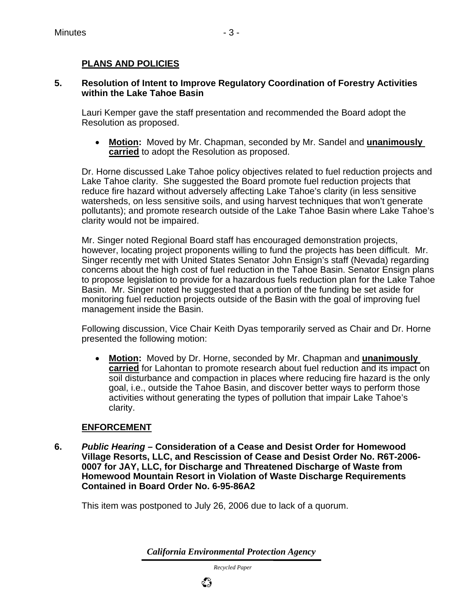## **PLANS AND POLICIES**

#### **5. Resolution of Intent to Improve Regulatory Coordination of Forestry Activities within the Lake Tahoe Basin**

Lauri Kemper gave the staff presentation and recommended the Board adopt the Resolution as proposed.

• **Motion:** Moved by Mr. Chapman, seconded by Mr. Sandel and **unanimously carried** to adopt the Resolution as proposed.

Dr. Horne discussed Lake Tahoe policy objectives related to fuel reduction projects and Lake Tahoe clarity. She suggested the Board promote fuel reduction projects that reduce fire hazard without adversely affecting Lake Tahoe's clarity (in less sensitive watersheds, on less sensitive soils, and using harvest techniques that won't generate pollutants); and promote research outside of the Lake Tahoe Basin where Lake Tahoe's clarity would not be impaired.

Mr. Singer noted Regional Board staff has encouraged demonstration projects, however, locating project proponents willing to fund the projects has been difficult. Mr. Singer recently met with United States Senator John Ensign's staff (Nevada) regarding concerns about the high cost of fuel reduction in the Tahoe Basin. Senator Ensign plans to propose legislation to provide for a hazardous fuels reduction plan for the Lake Tahoe Basin. Mr. Singer noted he suggested that a portion of the funding be set aside for monitoring fuel reduction projects outside of the Basin with the goal of improving fuel management inside the Basin.

Following discussion, Vice Chair Keith Dyas temporarily served as Chair and Dr. Horne presented the following motion:

• **Motion:** Moved by Dr. Horne, seconded by Mr. Chapman and **unanimously carried** for Lahontan to promote research about fuel reduction and its impact on soil disturbance and compaction in places where reducing fire hazard is the only goal, i.e., outside the Tahoe Basin, and discover better ways to perform those activities without generating the types of pollution that impair Lake Tahoe's clarity.

### **ENFORCEMENT**

**6.** *Public Hearing* **– Consideration of a Cease and Desist Order for Homewood Village Resorts, LLC, and Rescission of Cease and Desist Order No. R6T-2006- 0007 for JAY, LLC, for Discharge and Threatened Discharge of Waste from Homewood Mountain Resort in Violation of Waste Discharge Requirements Contained in Board Order No. 6-95-86A2** 

This item was postponed to July 26, 2006 due to lack of a quorum.

*California Environmental Protection Agency*

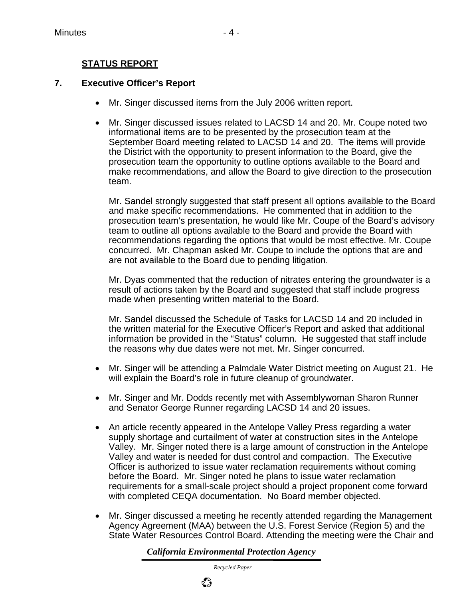# **STATUS REPORT**

#### **7. Executive Officer's Report**

- Mr. Singer discussed items from the July 2006 written report.
- Mr. Singer discussed issues related to LACSD 14 and 20. Mr. Coupe noted two informational items are to be presented by the prosecution team at the September Board meeting related to LACSD 14 and 20. The items will provide the District with the opportunity to present information to the Board, give the prosecution team the opportunity to outline options available to the Board and make recommendations, and allow the Board to give direction to the prosecution team.

Mr. Sandel strongly suggested that staff present all options available to the Board and make specific recommendations. He commented that in addition to the prosecution team's presentation, he would like Mr. Coupe of the Board's advisory team to outline all options available to the Board and provide the Board with recommendations regarding the options that would be most effective. Mr. Coupe concurred. Mr. Chapman asked Mr. Coupe to include the options that are and are not available to the Board due to pending litigation.

Mr. Dyas commented that the reduction of nitrates entering the groundwater is a result of actions taken by the Board and suggested that staff include progress made when presenting written material to the Board.

Mr. Sandel discussed the Schedule of Tasks for LACSD 14 and 20 included in the written material for the Executive Officer's Report and asked that additional information be provided in the "Status" column. He suggested that staff include the reasons why due dates were not met. Mr. Singer concurred.

- Mr. Singer will be attending a Palmdale Water District meeting on August 21. He will explain the Board's role in future cleanup of groundwater.
- Mr. Singer and Mr. Dodds recently met with Assemblywoman Sharon Runner and Senator George Runner regarding LACSD 14 and 20 issues.
- An article recently appeared in the Antelope Valley Press regarding a water supply shortage and curtailment of water at construction sites in the Antelope Valley. Mr. Singer noted there is a large amount of construction in the Antelope Valley and water is needed for dust control and compaction. The Executive Officer is authorized to issue water reclamation requirements without coming before the Board. Mr. Singer noted he plans to issue water reclamation requirements for a small-scale project should a project proponent come forward with completed CEQA documentation. No Board member objected.
- Mr. Singer discussed a meeting he recently attended regarding the Management Agency Agreement (MAA) between the U.S. Forest Service (Region 5) and the State Water Resources Control Board. Attending the meeting were the Chair and

*California Environmental Protection Agency*

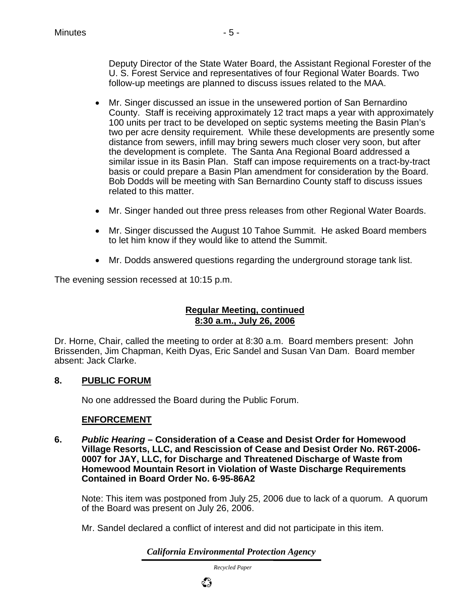- Mr. Singer discussed an issue in the unsewered portion of San Bernardino County. Staff is receiving approximately 12 tract maps a year with approximately 100 units per tract to be developed on septic systems meeting the Basin Plan's two per acre density requirement. While these developments are presently some distance from sewers, infill may bring sewers much closer very soon, but after the development is complete. The Santa Ana Regional Board addressed a similar issue in its Basin Plan. Staff can impose requirements on a tract-by-tract basis or could prepare a Basin Plan amendment for consideration by the Board. Bob Dodds will be meeting with San Bernardino County staff to discuss issues related to this matter.
- Mr. Singer handed out three press releases from other Regional Water Boards.
- Mr. Singer discussed the August 10 Tahoe Summit. He asked Board members to let him know if they would like to attend the Summit.
- Mr. Dodds answered questions regarding the underground storage tank list.

The evening session recessed at 10:15 p.m.

#### **Regular Meeting, continued 8:30 a.m., July 26, 2006**

Dr. Horne, Chair, called the meeting to order at 8:30 a.m. Board members present: John Brissenden, Jim Chapman, Keith Dyas, Eric Sandel and Susan Van Dam. Board member absent: Jack Clarke.

#### **8. PUBLIC FORUM**

No one addressed the Board during the Public Forum.

#### **ENFORCEMENT**

**6.** *Public Hearing* **– Consideration of a Cease and Desist Order for Homewood Village Resorts, LLC, and Rescission of Cease and Desist Order No. R6T-2006- 0007 for JAY, LLC, for Discharge and Threatened Discharge of Waste from Homewood Mountain Resort in Violation of Waste Discharge Requirements Contained in Board Order No. 6-95-86A2** 

Note: This item was postponed from July 25, 2006 due to lack of a quorum. A quorum of the Board was present on July 26, 2006.

Mr. Sandel declared a conflict of interest and did not participate in this item.

*California Environmental Protection Agency*

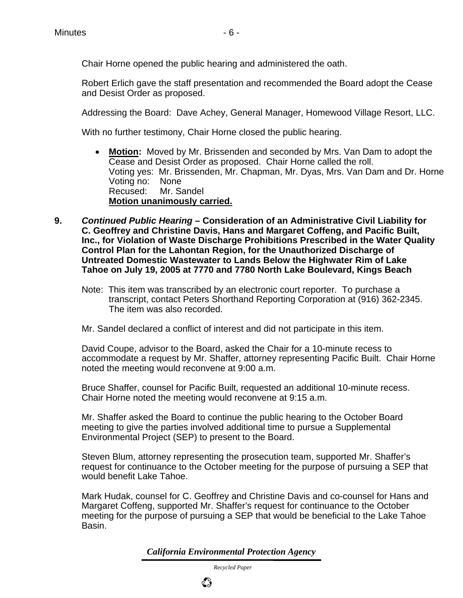Chair Horne opened the public hearing and administered the oath.

Robert Erlich gave the staff presentation and recommended the Board adopt the Cease and Desist Order as proposed.

Addressing the Board: Dave Achey, General Manager, Homewood Village Resort, LLC.

With no further testimony, Chair Horne closed the public hearing.

- **Motion:** Moved by Mr. Brissenden and seconded by Mrs. Van Dam to adopt the Cease and Desist Order as proposed. Chair Horne called the roll. Voting yes: Mr. Brissenden, Mr. Chapman, Mr. Dyas, Mrs. Van Dam and Dr. Horne Voting no: None Recused: Mr. Sandel **Motion unanimously carried.**
- **9.** *Continued Public Hearing* **Consideration of an Administrative Civil Liability for C. Geoffrey and Christine Davis, Hans and Margaret Coffeng, and Pacific Built, Inc., for Violation of Waste Discharge Prohibitions Prescribed in the Water Quality Control Plan for the Lahontan Region, for the Unauthorized Discharge of Untreated Domestic Wastewater to Lands Below the Highwater Rim of Lake Tahoe on July 19, 2005 at 7770 and 7780 North Lake Boulevard, Kings Beach**
	- Note: This item was transcribed by an electronic court reporter. To purchase a transcript, contact Peters Shorthand Reporting Corporation at (916) 362-2345. The item was also recorded.
	- Mr. Sandel declared a conflict of interest and did not participate in this item.

David Coupe, advisor to the Board, asked the Chair for a 10-minute recess to accommodate a request by Mr. Shaffer, attorney representing Pacific Built. Chair Horne noted the meeting would reconvene at 9:00 a.m.

Bruce Shaffer, counsel for Pacific Built, requested an additional 10-minute recess. Chair Horne noted the meeting would reconvene at 9:15 a.m.

Mr. Shaffer asked the Board to continue the public hearing to the October Board meeting to give the parties involved additional time to pursue a Supplemental Environmental Project (SEP) to present to the Board.

Steven Blum, attorney representing the prosecution team, supported Mr. Shaffer's request for continuance to the October meeting for the purpose of pursuing a SEP that would benefit Lake Tahoe.

Mark Hudak, counsel for C. Geoffrey and Christine Davis and co-counsel for Hans and Margaret Coffeng, supported Mr. Shaffer's request for continuance to the October meeting for the purpose of pursuing a SEP that would be beneficial to the Lake Tahoe Basin.

*California Environmental Protection Agency*

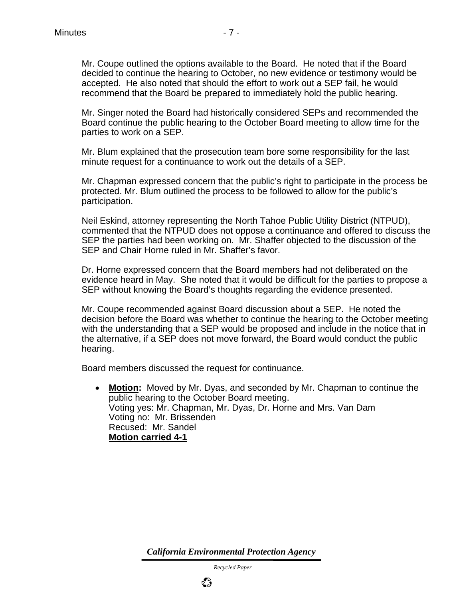Mr. Singer noted the Board had historically considered SEPs and recommended the Board continue the public hearing to the October Board meeting to allow time for the parties to work on a SEP.

Mr. Blum explained that the prosecution team bore some responsibility for the last minute request for a continuance to work out the details of a SEP.

Mr. Chapman expressed concern that the public's right to participate in the process be protected. Mr. Blum outlined the process to be followed to allow for the public's participation.

Neil Eskind, attorney representing the North Tahoe Public Utility District (NTPUD), commented that the NTPUD does not oppose a continuance and offered to discuss the SEP the parties had been working on. Mr. Shaffer objected to the discussion of the SEP and Chair Horne ruled in Mr. Shaffer's favor.

Dr. Horne expressed concern that the Board members had not deliberated on the evidence heard in May. She noted that it would be difficult for the parties to propose a SEP without knowing the Board's thoughts regarding the evidence presented.

Mr. Coupe recommended against Board discussion about a SEP. He noted the decision before the Board was whether to continue the hearing to the October meeting with the understanding that a SEP would be proposed and include in the notice that in the alternative, if a SEP does not move forward, the Board would conduct the public hearing.

Board members discussed the request for continuance.

• **Motion:** Moved by Mr. Dyas, and seconded by Mr. Chapman to continue the public hearing to the October Board meeting. Voting yes: Mr. Chapman, Mr. Dyas, Dr. Horne and Mrs. Van Dam Voting no: Mr. Brissenden Recused: Mr. Sandel **Motion carried 4-1**

*California Environmental Protection Agency*